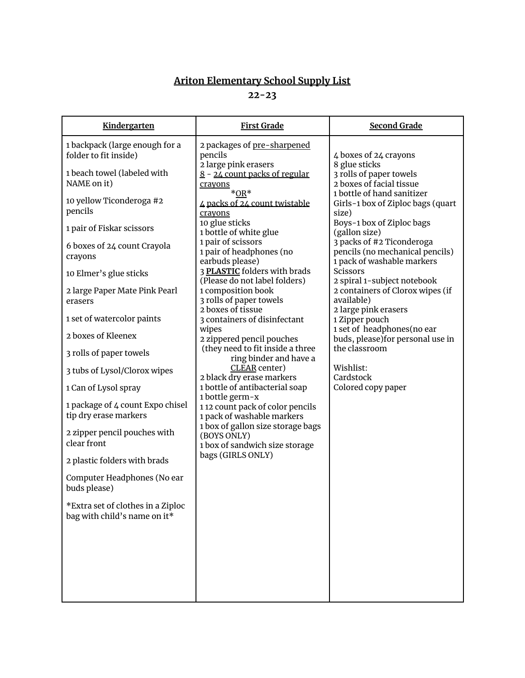## **Ariton Elementary School Supply List**

**22-23**

| Kindergarten                                                      | <b>First Grade</b>                                                                                      | <b>Second Grade</b>                                                                        |
|-------------------------------------------------------------------|---------------------------------------------------------------------------------------------------------|--------------------------------------------------------------------------------------------|
| 1 backpack (large enough for a<br>folder to fit inside)           | 2 packages of pre-sharpened<br>pencils<br>2 large pink erasers                                          | 4 boxes of 24 crayons<br>8 glue sticks                                                     |
| 1 beach towel (labeled with<br>NAME on it)                        | 8 - 24 count packs of regular<br>crayons<br>$*OR*$                                                      | 3 rolls of paper towels<br>2 boxes of facial tissue<br>1 bottle of hand sanitizer          |
| 10 yellow Ticonderoga #2<br>pencils                               | 4 packs of 24 count twistable<br>crayons<br>10 glue sticks                                              | Girls-1 box of Ziploc bags (quart<br>size)                                                 |
| 1 pair of Fiskar scissors                                         | 1 bottle of white glue                                                                                  | Boys-1 box of Ziploc bags<br>(gallon size)                                                 |
| 6 boxes of 24 count Crayola<br>crayons                            | 1 pair of scissors<br>1 pair of headphones (no<br>earbuds please)                                       | 3 packs of #2 Ticonderoga<br>pencils (no mechanical pencils)<br>1 pack of washable markers |
| 10 Elmer's glue sticks                                            | 3 PLASTIC folders with brads<br>(Please do not label folders)                                           | Scissors<br>2 spiral 1-subject notebook                                                    |
| 2 large Paper Mate Pink Pearl<br>erasers                          | 1 composition book<br>3 rolls of paper towels<br>2 boxes of tissue                                      | 2 containers of Clorox wipes (if<br>available)<br>2 large pink erasers                     |
| 1 set of watercolor paints                                        | 3 containers of disinfectant                                                                            | 1 Zipper pouch                                                                             |
| 2 boxes of Kleenex                                                | wipes<br>2 zippered pencil pouches                                                                      | 1 set of headphones(no ear<br>buds, please) for personal use in                            |
| 3 rolls of paper towels                                           | (they need to fit inside a three<br>ring binder and have a                                              | the classroom                                                                              |
| 3 tubs of Lysol/Clorox wipes                                      | CLEAR center)<br>2 black dry erase markers                                                              | Wishlist:<br>Cardstock                                                                     |
| 1 Can of Lysol spray                                              | 1 bottle of antibacterial soap<br>1 bottle germ-x                                                       | Colored copy paper                                                                         |
| 1 package of 4 count Expo chisel<br>tip dry erase markers         | 112 count pack of color pencils<br>1 pack of washable markers                                           |                                                                                            |
| 2 zipper pencil pouches with<br>clear front                       | 1 box of gallon size storage bags<br>(BOYS ONLY)<br>1 box of sandwich size storage<br>bags (GIRLS ONLY) |                                                                                            |
| 2 plastic folders with brads                                      |                                                                                                         |                                                                                            |
| Computer Headphones (No ear<br>buds please)                       |                                                                                                         |                                                                                            |
| *Extra set of clothes in a Ziploc<br>bag with child's name on it* |                                                                                                         |                                                                                            |
|                                                                   |                                                                                                         |                                                                                            |
|                                                                   |                                                                                                         |                                                                                            |
|                                                                   |                                                                                                         |                                                                                            |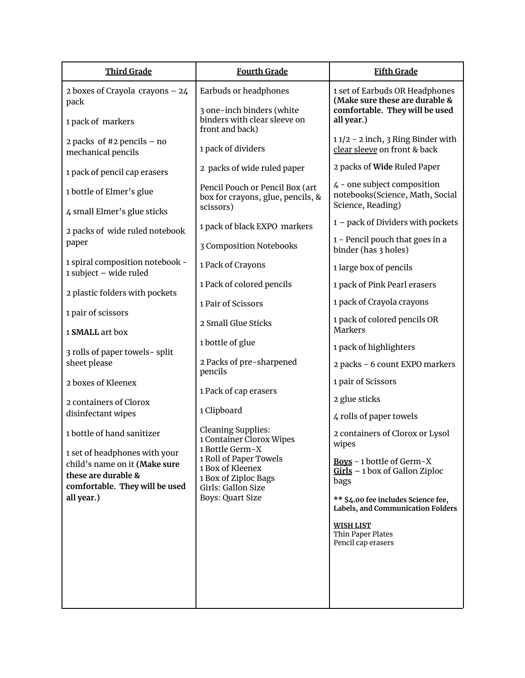| <b>Third Grade</b>                                                                                                      | <b>Fourth Grade</b>                                                                      | <b>Fifth Grade</b>                                                                                 |
|-------------------------------------------------------------------------------------------------------------------------|------------------------------------------------------------------------------------------|----------------------------------------------------------------------------------------------------|
| 2 boxes of Crayola crayons $-24$<br>pack                                                                                | Earbuds or headphones<br>3 one-inch binders (white                                       | 1 set of Earbuds OR Headphones<br>(Make sure these are durable &<br>comfortable. They will be used |
| 1 pack of markers                                                                                                       | binders with clear sleeve on<br>front and back)                                          | all year.)                                                                                         |
| 2 packs of #2 pencils $-$ no<br>mechanical pencils                                                                      | 1 pack of dividers                                                                       | 11/2 - 2 inch, 3 Ring Binder with<br>clear sleeve on front & back                                  |
| 1 pack of pencil cap erasers                                                                                            | 2 packs of wide ruled paper                                                              | 2 packs of Wide Ruled Paper                                                                        |
| 1 bottle of Elmer's glue                                                                                                | Pencil Pouch or Pencil Box (art<br>box for crayons, glue, pencils, &<br>scissors)        | 4 - one subject composition<br>notebooks(Science, Math, Social<br>Science, Reading)                |
| 4 small Elmer's glue sticks                                                                                             | 1 pack of black EXPO markers                                                             | 1 - pack of Dividers with pockets                                                                  |
| 2 packs of wide ruled notebook<br>paper                                                                                 | 3 Composition Notebooks                                                                  | 1 - Pencil pouch that goes in a<br>binder (has 3 holes)                                            |
| 1 spiral composition notebook -<br>1 subject - wide ruled                                                               | 1 Pack of Crayons                                                                        | 1 large box of pencils                                                                             |
| 2 plastic folders with pockets                                                                                          | 1 Pack of colored pencils                                                                | 1 pack of Pink Pearl erasers                                                                       |
| 1 pair of scissors                                                                                                      | 1 Pair of Scissors                                                                       | 1 pack of Crayola crayons                                                                          |
| 1 SMALL art box                                                                                                         | 2 Small Glue Sticks                                                                      | 1 pack of colored pencils OR<br><b>Markers</b>                                                     |
| 3 rolls of paper towels-split                                                                                           | 1 bottle of glue                                                                         | 1 pack of highlighters                                                                             |
| sheet please                                                                                                            | 2 Packs of pre-sharpened<br>pencils                                                      | 2 packs - 6 count EXPO markers                                                                     |
| 2 boxes of Kleenex                                                                                                      | 1 Pack of cap erasers                                                                    | 1 pair of Scissors                                                                                 |
| 2 containers of Clorox                                                                                                  | 1 Clipboard                                                                              | 2 glue sticks                                                                                      |
| disinfectant wipes                                                                                                      | <b>Cleaning Supplies:</b>                                                                | 4 rolls of paper towels                                                                            |
| 1 bottle of hand sanitizer                                                                                              | 1 Container Clorox Wipes<br>1 Bottle Germ-X                                              | 2 containers of Clorox or Lysol<br>wipes                                                           |
| 1 set of headphones with your<br>child's name on it (Make sure<br>these are durable &<br>comfortable. They will be used | 1 Roll of Paper Towels<br>1 Box of Kleenex<br>1 Box of Ziploc Bags<br>Girls: Gallon Size | Boys - 1 bottle of Germ-X<br>$Girls - 1$ box of Gallon Ziploc<br>bags                              |
| all year.)                                                                                                              | <b>Boys: Quart Size</b>                                                                  | ** \$4.00 fee includes Science fee,<br>Labels, and Communication Folders                           |
|                                                                                                                         |                                                                                          | <b>WISH LIST</b><br>Thin Paper Plates<br>Pencil cap erasers                                        |
|                                                                                                                         |                                                                                          |                                                                                                    |
|                                                                                                                         |                                                                                          |                                                                                                    |
|                                                                                                                         |                                                                                          |                                                                                                    |